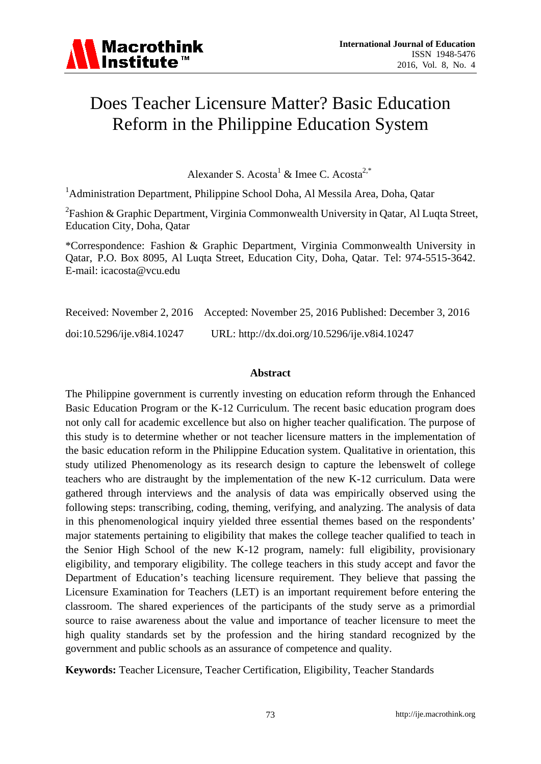

# Does Teacher Licensure Matter? Basic Education Reform in the Philippine Education System

Alexander S. Acosta<sup>1</sup> & Imee C. Acosta<sup>2,\*</sup>

<sup>1</sup> Administration Department, Philippine School Doha, Al Messila Area, Doha, Qatar

<sup>2</sup> Fashion & Graphic Department, Virginia Commonwealth University in Qatar, Al Luqta Street, Education City, Doha, Qatar

\*Correspondence: Fashion & Graphic Department, Virginia Commonwealth University in Qatar, P.O. Box 8095, Al Luqta Street, Education City, Doha, Qatar. Tel: 974-5515-3642. E-mail: icacosta@vcu.edu

Received: November 2, 2016 Accepted: November 25, 2016 Published: December 3, 2016 doi:10.5296/ije.v8i4.10247 URL: http://dx.doi.org/10.5296/ije.v8i4.10247

#### **Abstract**

The Philippine government is currently investing on education reform through the Enhanced Basic Education Program or the K-12 Curriculum. The recent basic education program does not only call for academic excellence but also on higher teacher qualification. The purpose of this study is to determine whether or not teacher licensure matters in the implementation of the basic education reform in the Philippine Education system. Qualitative in orientation, this study utilized Phenomenology as its research design to capture the lebenswelt of college teachers who are distraught by the implementation of the new K-12 curriculum. Data were gathered through interviews and the analysis of data was empirically observed using the following steps: transcribing, coding, theming, verifying, and analyzing. The analysis of data in this phenomenological inquiry yielded three essential themes based on the respondents' major statements pertaining to eligibility that makes the college teacher qualified to teach in the Senior High School of the new K-12 program, namely: full eligibility, provisionary eligibility, and temporary eligibility. The college teachers in this study accept and favor the Department of Education's teaching licensure requirement. They believe that passing the Licensure Examination for Teachers (LET) is an important requirement before entering the classroom. The shared experiences of the participants of the study serve as a primordial source to raise awareness about the value and importance of teacher licensure to meet the high quality standards set by the profession and the hiring standard recognized by the government and public schools as an assurance of competence and quality.

**Keywords:** Teacher Licensure, Teacher Certification, Eligibility, Teacher Standards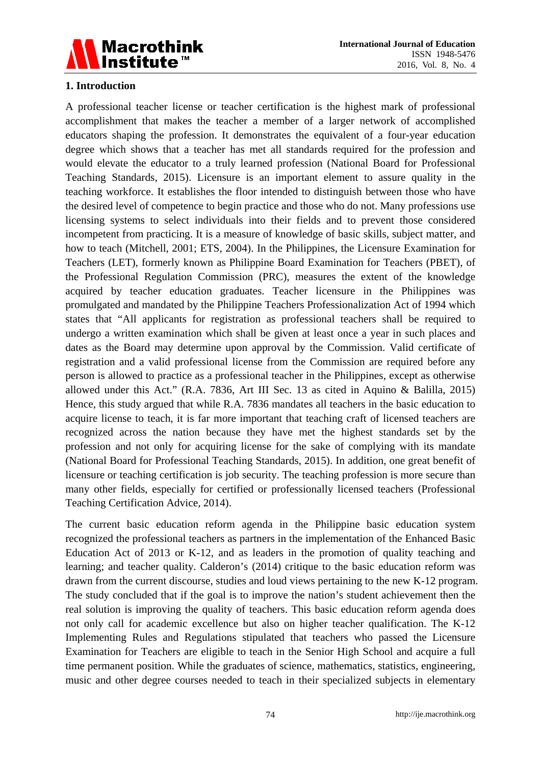

### **1. Introduction**

A professional teacher license or teacher certification is the highest mark of professional accomplishment that makes the teacher a member of a larger network of accomplished educators shaping the profession. It demonstrates the equivalent of a four-year education degree which shows that a teacher has met all standards required for the profession and would elevate the educator to a truly learned profession (National Board for Professional Teaching Standards, 2015). Licensure is an important element to assure quality in the teaching workforce. It establishes the floor intended to distinguish between those who have the desired level of competence to begin practice and those who do not. Many professions use licensing systems to select individuals into their fields and to prevent those considered incompetent from practicing. It is a measure of knowledge of basic skills, subject matter, and how to teach (Mitchell, 2001; ETS, 2004). In the Philippines, the Licensure Examination for Teachers (LET), formerly known as Philippine Board Examination for Teachers (PBET), of the Professional Regulation Commission (PRC), measures the extent of the knowledge acquired by teacher education graduates. Teacher licensure in the Philippines was promulgated and mandated by the Philippine Teachers Professionalization Act of 1994 which states that "All applicants for registration as professional teachers shall be required to undergo a written examination which shall be given at least once a year in such places and dates as the Board may determine upon approval by the Commission. Valid certificate of registration and a valid professional license from the Commission are required before any person is allowed to practice as a professional teacher in the Philippines, except as otherwise allowed under this Act." (R.A. 7836, Art III Sec. 13 as cited in Aquino & Balilla, 2015) Hence, this study argued that while R.A. 7836 mandates all teachers in the basic education to acquire license to teach, it is far more important that teaching craft of licensed teachers are recognized across the nation because they have met the highest standards set by the profession and not only for acquiring license for the sake of complying with its mandate (National Board for Professional Teaching Standards, 2015). In addition, one great benefit of licensure or teaching certification is job security. The teaching profession is more secure than many other fields, especially for certified or professionally licensed teachers (Professional Teaching Certification Advice, 2014).

The current basic education reform agenda in the Philippine basic education system recognized the professional teachers as partners in the implementation of the Enhanced Basic Education Act of 2013 or K-12, and as leaders in the promotion of quality teaching and learning; and teacher quality. Calderon's (2014) critique to the basic education reform was drawn from the current discourse, studies and loud views pertaining to the new K-12 program. The study concluded that if the goal is to improve the nation's student achievement then the real solution is improving the quality of teachers. This basic education reform agenda does not only call for academic excellence but also on higher teacher qualification. The K-12 Implementing Rules and Regulations stipulated that teachers who passed the Licensure Examination for Teachers are eligible to teach in the Senior High School and acquire a full time permanent position. While the graduates of science, mathematics, statistics, engineering, music and other degree courses needed to teach in their specialized subjects in elementary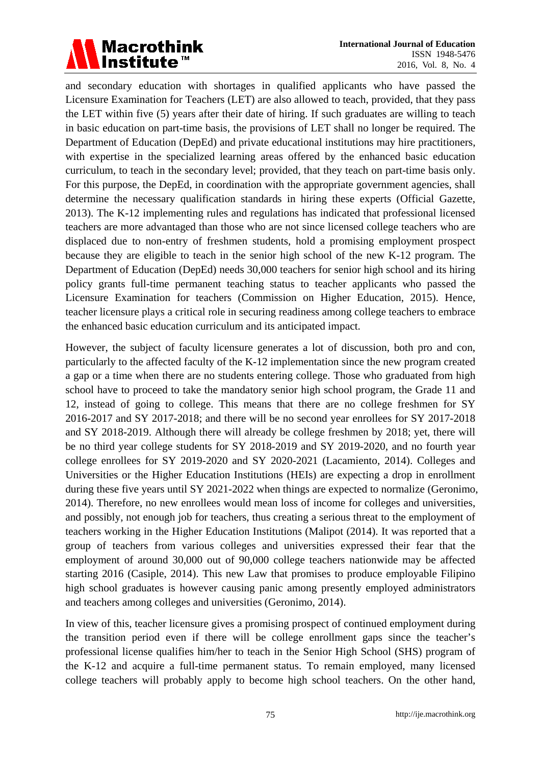# Macrothink<br>|Institute™

and secondary education with shortages in qualified applicants who have passed the Licensure Examination for Teachers (LET) are also allowed to teach, provided, that they pass the LET within five (5) years after their date of hiring. If such graduates are willing to teach in basic education on part-time basis, the provisions of LET shall no longer be required. The Department of Education (DepEd) and private educational institutions may hire practitioners, with expertise in the specialized learning areas offered by the enhanced basic education curriculum, to teach in the secondary level; provided, that they teach on part-time basis only. For this purpose, the DepEd, in coordination with the appropriate government agencies, shall determine the necessary qualification standards in hiring these experts (Official Gazette, 2013). The K-12 implementing rules and regulations has indicated that professional licensed teachers are more advantaged than those who are not since licensed college teachers who are displaced due to non-entry of freshmen students, hold a promising employment prospect because they are eligible to teach in the senior high school of the new K-12 program. The Department of Education (DepEd) needs 30,000 teachers for senior high school and its hiring policy grants full-time permanent teaching status to teacher applicants who passed the Licensure Examination for teachers (Commission on Higher Education, 2015). Hence, teacher licensure plays a critical role in securing readiness among college teachers to embrace the enhanced basic education curriculum and its anticipated impact.

However, the subject of faculty licensure generates a lot of discussion, both pro and con, particularly to the affected faculty of the K-12 implementation since the new program created a gap or a time when there are no students entering college. Those who graduated from high school have to proceed to take the mandatory senior high school program, the Grade 11 and 12, instead of going to college. This means that there are no college freshmen for SY 2016-2017 and SY 2017-2018; and there will be no second year enrollees for SY 2017-2018 and SY 2018-2019. Although there will already be college freshmen by 2018; yet, there will be no third year college students for SY 2018-2019 and SY 2019-2020, and no fourth year college enrollees for SY 2019-2020 and SY 2020-2021 (Lacamiento, 2014). Colleges and Universities or the Higher Education Institutions (HEIs) are expecting a drop in enrollment during these five years until SY 2021-2022 when things are expected to normalize (Geronimo, 2014). Therefore, no new enrollees would mean loss of income for colleges and universities, and possibly, not enough job for teachers, thus creating a serious threat to the employment of teachers working in the Higher Education Institutions (Malipot (2014). It was reported that a group of teachers from various colleges and universities expressed their fear that the employment of around 30,000 out of 90,000 college teachers nationwide may be affected starting 2016 (Casiple, 2014). This new Law that promises to produce employable Filipino high school graduates is however causing panic among presently employed administrators and teachers among colleges and universities (Geronimo, 2014).

In view of this, teacher licensure gives a promising prospect of continued employment during the transition period even if there will be college enrollment gaps since the teacher's professional license qualifies him/her to teach in the Senior High School (SHS) program of the K-12 and acquire a full-time permanent status. To remain employed, many licensed college teachers will probably apply to become high school teachers. On the other hand,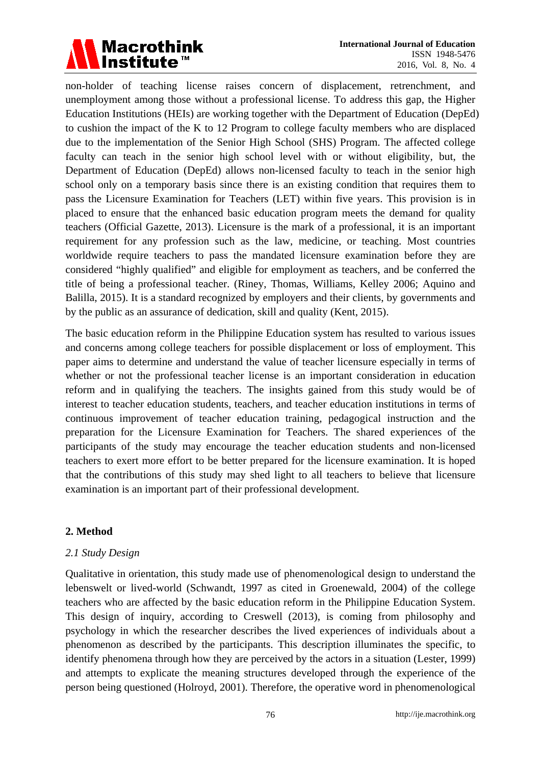

non-holder of teaching license raises concern of displacement, retrenchment, and unemployment among those without a professional license. To address this gap, the Higher Education Institutions (HEIs) are working together with the Department of Education (DepEd) to cushion the impact of the K to 12 Program to college faculty members who are displaced due to the implementation of the Senior High School (SHS) Program. The affected college faculty can teach in the senior high school level with or without eligibility, but, the Department of Education (DepEd) allows non-licensed faculty to teach in the senior high school only on a temporary basis since there is an existing condition that requires them to pass the Licensure Examination for Teachers (LET) within five years. This provision is in placed to ensure that the enhanced basic education program meets the demand for quality teachers (Official Gazette, 2013). Licensure is the mark of a professional, it is an important requirement for any profession such as the law, medicine, or teaching. Most countries worldwide require teachers to pass the mandated licensure examination before they are considered "highly qualified" and eligible for employment as teachers, and be conferred the title of being a professional teacher. (Riney, Thomas, Williams, Kelley 2006; Aquino and Balilla, 2015). It is a standard recognized by employers and their clients, by governments and by the public as an assurance of dedication, skill and quality (Kent, 2015).

The basic education reform in the Philippine Education system has resulted to various issues and concerns among college teachers for possible displacement or loss of employment. This paper aims to determine and understand the value of teacher licensure especially in terms of whether or not the professional teacher license is an important consideration in education reform and in qualifying the teachers. The insights gained from this study would be of interest to teacher education students, teachers, and teacher education institutions in terms of continuous improvement of teacher education training, pedagogical instruction and the preparation for the Licensure Examination for Teachers. The shared experiences of the participants of the study may encourage the teacher education students and non-licensed teachers to exert more effort to be better prepared for the licensure examination. It is hoped that the contributions of this study may shed light to all teachers to believe that licensure examination is an important part of their professional development.

#### **2. Method**

#### *2.1 Study Design*

Qualitative in orientation, this study made use of phenomenological design to understand the lebenswelt or lived-world (Schwandt, 1997 as cited in Groenewald, 2004) of the college teachers who are affected by the basic education reform in the Philippine Education System. This design of inquiry, according to Creswell (2013), is coming from philosophy and psychology in which the researcher describes the lived experiences of individuals about a phenomenon as described by the participants. This description illuminates the specific, to identify phenomena through how they are perceived by the actors in a situation (Lester, 1999) and attempts to explicate the meaning structures developed through the experience of the person being questioned (Holroyd, 2001). Therefore, the operative word in phenomenological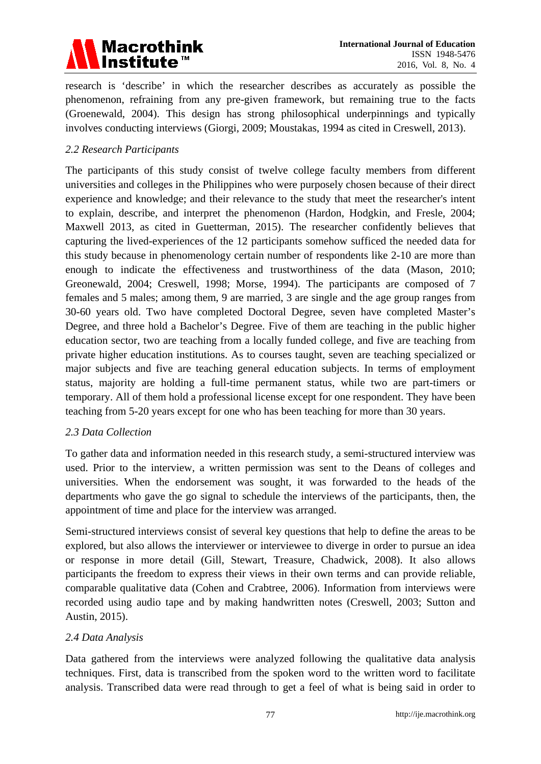

research is 'describe' in which the researcher describes as accurately as possible the phenomenon, refraining from any pre-given framework, but remaining true to the facts (Groenewald, 2004). This design has strong philosophical underpinnings and typically involves conducting interviews (Giorgi, 2009; Moustakas, 1994 as cited in Creswell, 2013).

#### *2.2 Research Participants*

The participants of this study consist of twelve college faculty members from different universities and colleges in the Philippines who were purposely chosen because of their direct experience and knowledge; and their relevance to the study that meet the researcher's intent to explain, describe, and interpret the phenomenon (Hardon, Hodgkin, and Fresle, 2004; Maxwell 2013, as cited in Guetterman, 2015). The researcher confidently believes that capturing the lived-experiences of the 12 participants somehow sufficed the needed data for this study because in phenomenology certain number of respondents like 2-10 are more than enough to indicate the effectiveness and trustworthiness of the data (Mason, 2010; Greonewald, 2004; Creswell, 1998; Morse, 1994). The participants are composed of 7 females and 5 males; among them, 9 are married, 3 are single and the age group ranges from 30-60 years old. Two have completed Doctoral Degree, seven have completed Master's Degree, and three hold a Bachelor's Degree. Five of them are teaching in the public higher education sector, two are teaching from a locally funded college, and five are teaching from private higher education institutions. As to courses taught, seven are teaching specialized or major subjects and five are teaching general education subjects. In terms of employment status, majority are holding a full-time permanent status, while two are part-timers or temporary. All of them hold a professional license except for one respondent. They have been teaching from 5-20 years except for one who has been teaching for more than 30 years.

#### *2.3 Data Collection*

To gather data and information needed in this research study, a semi-structured interview was used. Prior to the interview, a written permission was sent to the Deans of colleges and universities. When the endorsement was sought, it was forwarded to the heads of the departments who gave the go signal to schedule the interviews of the participants, then, the appointment of time and place for the interview was arranged.

Semi-structured interviews consist of several key questions that help to define the areas to be explored, but also allows the interviewer or interviewee to diverge in order to pursue an idea or response in more detail (Gill, Stewart, Treasure, Chadwick, 2008). It also allows participants the freedom to express their views in their own terms and can provide reliable, comparable qualitative data (Cohen and Crabtree, 2006). Information from interviews were recorded using audio tape and by making handwritten notes (Creswell, 2003; Sutton and Austin, 2015).

#### *2.4 Data Analysis*

Data gathered from the interviews were analyzed following the qualitative data analysis techniques. First, data is transcribed from the spoken word to the written word to facilitate analysis. Transcribed data were read through to get a feel of what is being said in order to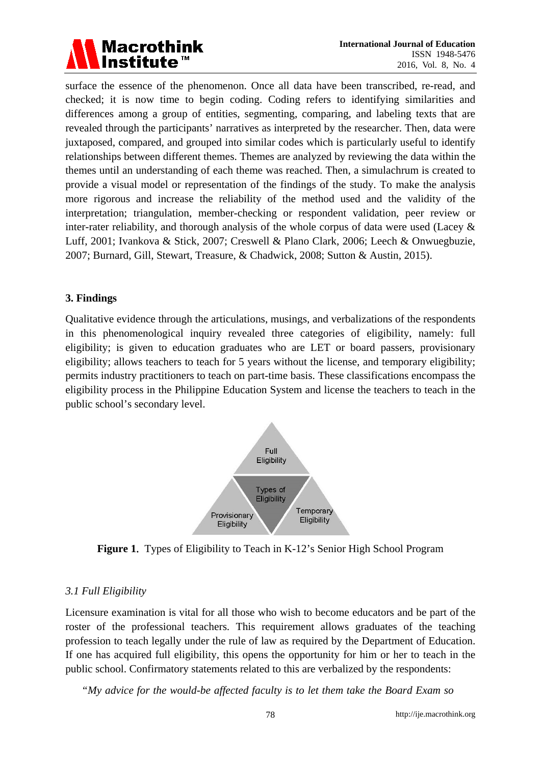

surface the essence of the phenomenon. Once all data have been transcribed, re-read, and checked; it is now time to begin coding. Coding refers to identifying similarities and differences among a group of entities, segmenting, comparing, and labeling texts that are revealed through the participants' narratives as interpreted by the researcher. Then, data were juxtaposed, compared, and grouped into similar codes which is particularly useful to identify relationships between different themes. Themes are analyzed by reviewing the data within the themes until an understanding of each theme was reached. Then, a simulachrum is created to provide a visual model or representation of the findings of the study. To make the analysis more rigorous and increase the reliability of the method used and the validity of the interpretation; triangulation, member-checking or respondent validation, peer review or inter-rater reliability, and thorough analysis of the whole corpus of data were used (Lacey  $\&$ Luff, 2001; Ivankova & Stick, 2007; Creswell & Plano Clark, 2006; Leech & Onwuegbuzie, 2007; Burnard, Gill, Stewart, Treasure, & Chadwick, 2008; Sutton & Austin, 2015).

#### **3. Findings**

Qualitative evidence through the articulations, musings, and verbalizations of the respondents in this phenomenological inquiry revealed three categories of eligibility, namely: full eligibility; is given to education graduates who are LET or board passers, provisionary eligibility; allows teachers to teach for 5 years without the license, and temporary eligibility; permits industry practitioners to teach on part-time basis. These classifications encompass the eligibility process in the Philippine Education System and license the teachers to teach in the public school's secondary level.



**Figure 1**. Types of Eligibility to Teach in K-12's Senior High School Program

### *3.1 Full Eligibility*

Licensure examination is vital for all those who wish to become educators and be part of the roster of the professional teachers. This requirement allows graduates of the teaching profession to teach legally under the rule of law as required by the Department of Education. If one has acquired full eligibility, this opens the opportunity for him or her to teach in the public school. Confirmatory statements related to this are verbalized by the respondents:

*"My advice for the would-be affected faculty is to let them take the Board Exam so*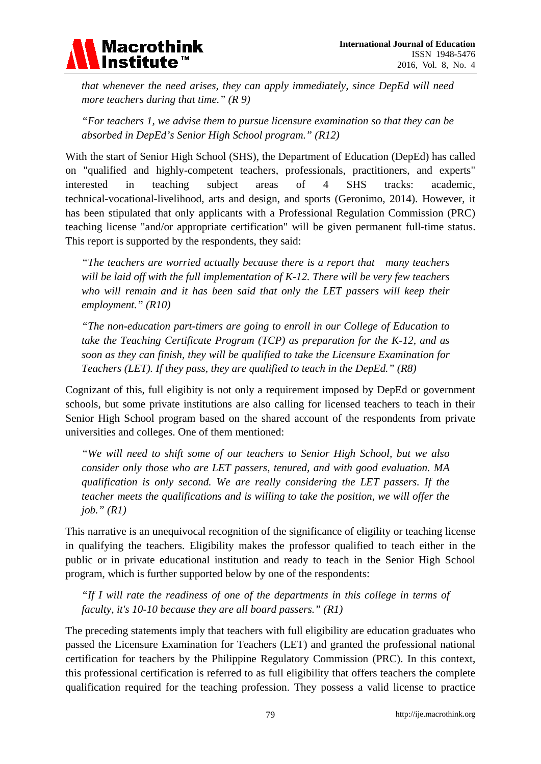

*that whenever the need arises, they can apply immediately, since DepEd will need more teachers during that time." (R 9)* 

*"For teachers 1, we advise them to pursue licensure examination so that they can be absorbed in DepEd's Senior High School program." (R12)* 

With the start of Senior High School (SHS), the Department of Education (DepEd) has called on "qualified and highly-competent teachers, professionals, practitioners, and experts" interested in teaching subject areas of 4 SHS tracks: academic, technical-vocational-livelihood, arts and design, and sports (Geronimo, 2014). However, it has been stipulated that only applicants with a Professional Regulation Commission (PRC) teaching license "and/or appropriate certification" will be given permanent full-time status. This report is supported by the respondents, they said:

*"The teachers are worried actually because there is a report that many teachers will be laid off with the full implementation of K-12. There will be very few teachers*  who will remain and it has been said that only the LET passers will keep their *employment." (R10)* 

*"The non-education part-timers are going to enroll in our College of Education to take the Teaching Certificate Program (TCP) as preparation for the K-12, and as soon as they can finish, they will be qualified to take the Licensure Examination for Teachers (LET). If they pass, they are qualified to teach in the DepEd." (R8)* 

Cognizant of this, full eligibity is not only a requirement imposed by DepEd or government schools, but some private institutions are also calling for licensed teachers to teach in their Senior High School program based on the shared account of the respondents from private universities and colleges. One of them mentioned:

*"We will need to shift some of our teachers to Senior High School, but we also consider only those who are LET passers, tenured, and with good evaluation. MA qualification is only second. We are really considering the LET passers. If the teacher meets the qualifications and is willing to take the position, we will offer the job." (R1)* 

This narrative is an unequivocal recognition of the significance of eligility or teaching license in qualifying the teachers. Eligibility makes the professor qualified to teach either in the public or in private educational institution and ready to teach in the Senior High School program, which is further supported below by one of the respondents:

*"If I will rate the readiness of one of the departments in this college in terms of faculty, it's 10-10 because they are all board passers." (R1)* 

The preceding statements imply that teachers with full eligibility are education graduates who passed the Licensure Examination for Teachers (LET) and granted the professional national certification for teachers by the Philippine Regulatory Commission (PRC). In this context, this professional certification is referred to as full eligibility that offers teachers the complete qualification required for the teaching profession. They possess a valid license to practice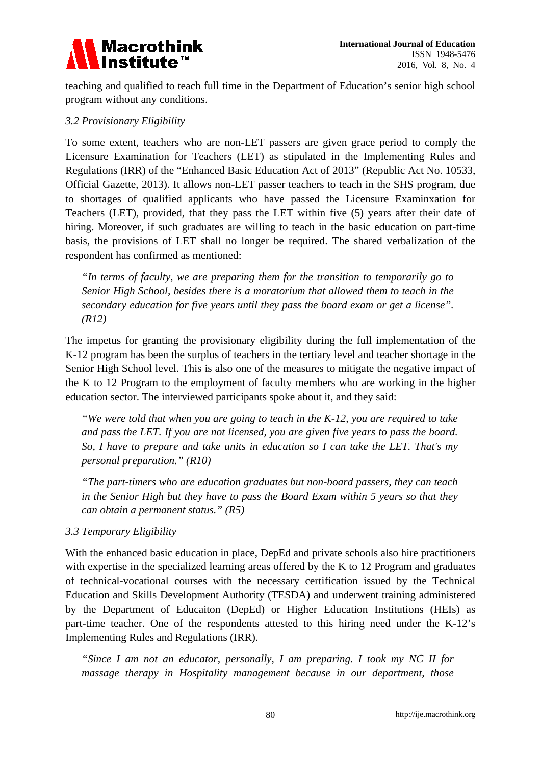

teaching and qualified to teach full time in the Department of Education's senior high school program without any conditions.

#### *3.2 Provisionary Eligibility*

To some extent, teachers who are non-LET passers are given grace period to comply the Licensure Examination for Teachers (LET) as stipulated in the Implementing Rules and Regulations (IRR) of the "Enhanced Basic Education Act of 2013" (Republic Act No. 10533, Official Gazette, 2013). It allows non-LET passer teachers to teach in the SHS program, due to shortages of qualified applicants who have passed the Licensure Examinxation for Teachers (LET), provided, that they pass the LET within five (5) years after their date of hiring. Moreover, if such graduates are willing to teach in the basic education on part-time basis, the provisions of LET shall no longer be required. The shared verbalization of the respondent has confirmed as mentioned:

*"In terms of faculty, we are preparing them for the transition to temporarily go to Senior High School, besides there is a moratorium that allowed them to teach in the secondary education for five years until they pass the board exam or get a license". (R12)* 

The impetus for granting the provisionary eligibility during the full implementation of the K-12 program has been the surplus of teachers in the tertiary level and teacher shortage in the Senior High School level. This is also one of the measures to mitigate the negative impact of the K to 12 Program to the employment of faculty members who are working in the higher education sector. The interviewed participants spoke about it, and they said:

*"We were told that when you are going to teach in the K-12, you are required to take and pass the LET. If you are not licensed, you are given five years to pass the board. So, I have to prepare and take units in education so I can take the LET. That's my personal preparation." (R10)* 

*"The part-timers who are education graduates but non-board passers, they can teach in the Senior High but they have to pass the Board Exam within 5 years so that they can obtain a permanent status." (R5)* 

#### *3.3 Temporary Eligibility*

With the enhanced basic education in place, DepEd and private schools also hire practitioners with expertise in the specialized learning areas offered by the K to 12 Program and graduates of technical-vocational courses with the necessary certification issued by the Technical Education and Skills Development Authority (TESDA) and underwent training administered by the Department of Educaiton (DepEd) or Higher Education Institutions (HEIs) as part-time teacher. One of the respondents attested to this hiring need under the K-12's Implementing Rules and Regulations (IRR).

*"Since I am not an educator, personally, I am preparing. I took my NC II for massage therapy in Hospitality management because in our department, those*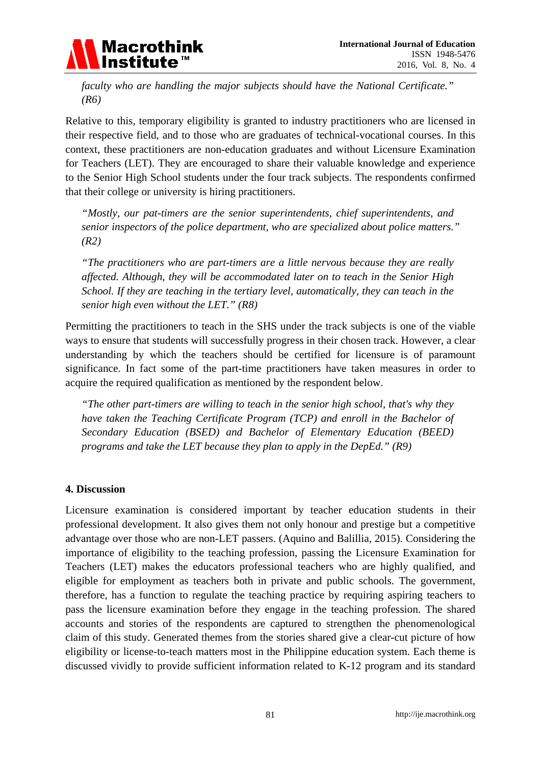

*faculty who are handling the major subjects should have the National Certificate." (R6)* 

Relative to this, temporary eligibility is granted to industry practitioners who are licensed in their respective field, and to those who are graduates of technical-vocational courses. In this context, these practitioners are non-education graduates and without Licensure Examination for Teachers (LET). They are encouraged to share their valuable knowledge and experience to the Senior High School students under the four track subjects. The respondents confirmed that their college or university is hiring practitioners.

*"Mostly, our pat-timers are the senior superintendents, chief superintendents, and senior inspectors of the police department, who are specialized about police matters." (R2)* 

*"The practitioners who are part-timers are a little nervous because they are really affected. Although, they will be accommodated later on to teach in the Senior High School. If they are teaching in the tertiary level, automatically, they can teach in the senior high even without the LET." (R8)* 

Permitting the practitioners to teach in the SHS under the track subjects is one of the viable ways to ensure that students will successfully progress in their chosen track. However, a clear understanding by which the teachers should be certified for licensure is of paramount significance. In fact some of the part-time practitioners have taken measures in order to acquire the required qualification as mentioned by the respondent below.

*"The other part-timers are willing to teach in the senior high school, that's why they have taken the Teaching Certificate Program (TCP) and enroll in the Bachelor of Secondary Education (BSED) and Bachelor of Elementary Education (BEED) programs and take the LET because they plan to apply in the DepEd." (R9)* 

#### **4. Discussion**

Licensure examination is considered important by teacher education students in their professional development. It also gives them not only honour and prestige but a competitive advantage over those who are non-LET passers. (Aquino and Balillia, 2015). Considering the importance of eligibility to the teaching profession, passing the Licensure Examination for Teachers (LET) makes the educators professional teachers who are highly qualified, and eligible for employment as teachers both in private and public schools. The government, therefore, has a function to regulate the teaching practice by requiring aspiring teachers to pass the licensure examination before they engage in the teaching profession. The shared accounts and stories of the respondents are captured to strengthen the phenomenological claim of this study. Generated themes from the stories shared give a clear-cut picture of how eligibility or license-to-teach matters most in the Philippine education system. Each theme is discussed vividly to provide sufficient information related to K-12 program and its standard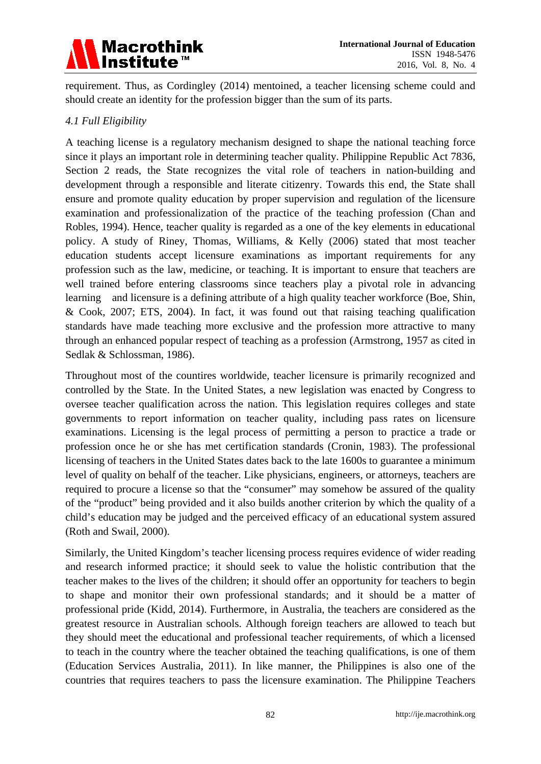# Macrothink<br>Institute™

requirement. Thus, as Cordingley (2014) mentoined, a teacher licensing scheme could and should create an identity for the profession bigger than the sum of its parts.

### *4.1 Full Eligibility*

A teaching license is a regulatory mechanism designed to shape the national teaching force since it plays an important role in determining teacher quality. Philippine Republic Act 7836, Section 2 reads, the State recognizes the vital role of teachers in nation-building and development through a responsible and literate citizenry. Towards this end, the State shall ensure and promote quality education by proper supervision and regulation of the licensure examination and professionalization of the practice of the teaching profession (Chan and Robles, 1994). Hence, teacher quality is regarded as a one of the key elements in educational policy. A study of Riney, Thomas, Williams, & Kelly (2006) stated that most teacher education students accept licensure examinations as important requirements for any profession such as the law, medicine, or teaching. It is important to ensure that teachers are well trained before entering classrooms since teachers play a pivotal role in advancing learning and licensure is a defining attribute of a high quality teacher workforce (Boe, Shin, & Cook, 2007; ETS, 2004). In fact, it was found out that raising teaching qualification standards have made teaching more exclusive and the profession more attractive to many through an enhanced popular respect of teaching as a profession (Armstrong, 1957 as cited in Sedlak & Schlossman, 1986).

Throughout most of the countires worldwide, teacher licensure is primarily recognized and controlled by the State. In the United States, a new legislation was enacted by Congress to oversee teacher qualification across the nation. This legislation requires colleges and state governments to report information on teacher quality, including pass rates on licensure examinations. Licensing is the legal process of permitting a person to practice a trade or profession once he or she has met certification standards (Cronin, 1983). The professional licensing of teachers in the United States dates back to the late 1600s to guarantee a minimum level of quality on behalf of the teacher. Like physicians, engineers, or attorneys, teachers are required to procure a license so that the "consumer" may somehow be assured of the quality of the "product" being provided and it also builds another criterion by which the quality of a child's education may be judged and the perceived efficacy of an educational system assured (Roth and Swail, 2000).

Similarly, the United Kingdom's teacher licensing process requires evidence of wider reading and research informed practice; it should seek to value the holistic contribution that the teacher makes to the lives of the children; it should offer an opportunity for teachers to begin to shape and monitor their own professional standards; and it should be a matter of professional pride (Kidd, 2014). Furthermore, in Australia, the teachers are considered as the greatest resource in Australian schools. Although foreign teachers are allowed to teach but they should meet the educational and professional teacher requirements, of which a licensed to teach in the country where the teacher obtained the teaching qualifications, is one of them (Education Services Australia, 2011). In like manner, the Philippines is also one of the countries that requires teachers to pass the licensure examination. The Philippine Teachers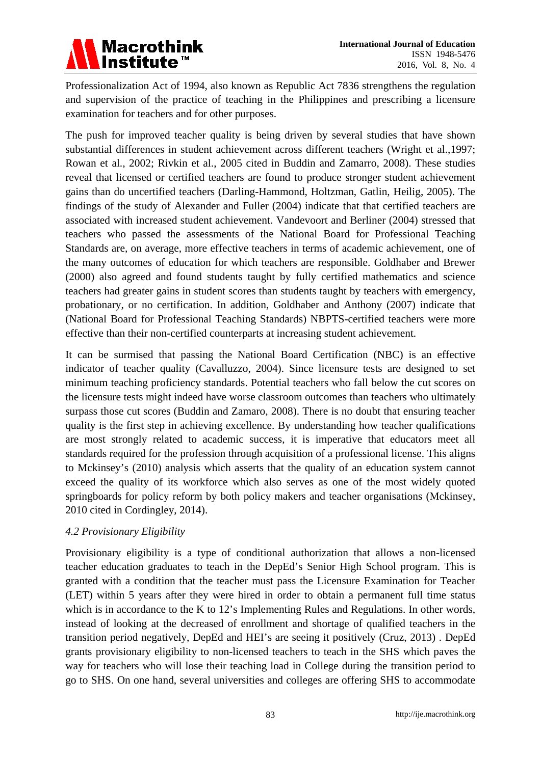

Professionalization Act of 1994, also known as Republic Act 7836 strengthens the regulation and supervision of the practice of teaching in the Philippines and prescribing a licensure examination for teachers and for other purposes.

The push for improved teacher quality is being driven by several studies that have shown substantial differences in student achievement across different teachers (Wright et al.,1997; Rowan et al., 2002; Rivkin et al., 2005 cited in Buddin and Zamarro, 2008). These studies reveal that licensed or certified teachers are found to produce stronger student achievement gains than do uncertified teachers (Darling-Hammond, Holtzman, Gatlin, Heilig, 2005). The findings of the study of Alexander and Fuller (2004) indicate that that certified teachers are associated with increased student achievement. Vandevoort and Berliner (2004) stressed that teachers who passed the assessments of the National Board for Professional Teaching Standards are, on average, more effective teachers in terms of academic achievement, one of the many outcomes of education for which teachers are responsible. Goldhaber and Brewer (2000) also agreed and found students taught by fully certified mathematics and science teachers had greater gains in student scores than students taught by teachers with emergency, probationary, or no certification. In addition, Goldhaber and Anthony (2007) indicate that (National Board for Professional Teaching Standards) NBPTS-certified teachers were more effective than their non-certified counterparts at increasing student achievement.

It can be surmised that passing the National Board Certification (NBC) is an effective indicator of teacher quality (Cavalluzzo, 2004). Since licensure tests are designed to set minimum teaching proficiency standards. Potential teachers who fall below the cut scores on the licensure tests might indeed have worse classroom outcomes than teachers who ultimately surpass those cut scores (Buddin and Zamaro, 2008). There is no doubt that ensuring teacher quality is the first step in achieving excellence. By understanding how teacher qualifications are most strongly related to academic success, it is imperative that educators meet all standards required for the profession through acquisition of a professional license. This aligns to Mckinsey's (2010) analysis which asserts that the quality of an education system cannot exceed the quality of its workforce which also serves as one of the most widely quoted springboards for policy reform by both policy makers and teacher organisations (Mckinsey, 2010 cited in Cordingley, 2014).

### *4.2 Provisionary Eligibility*

Provisionary eligibility is a type of conditional authorization that allows a non-licensed teacher education graduates to teach in the DepEd's Senior High School program. This is granted with a condition that the teacher must pass the Licensure Examination for Teacher (LET) within 5 years after they were hired in order to obtain a permanent full time status which is in accordance to the K to 12's Implementing Rules and Regulations. In other words, instead of looking at the decreased of enrollment and shortage of qualified teachers in the transition period negatively, DepEd and HEI's are seeing it positively (Cruz, 2013) . DepEd grants provisionary eligibility to non-licensed teachers to teach in the SHS which paves the way for teachers who will lose their teaching load in College during the transition period to go to SHS. On one hand, several universities and colleges are offering SHS to accommodate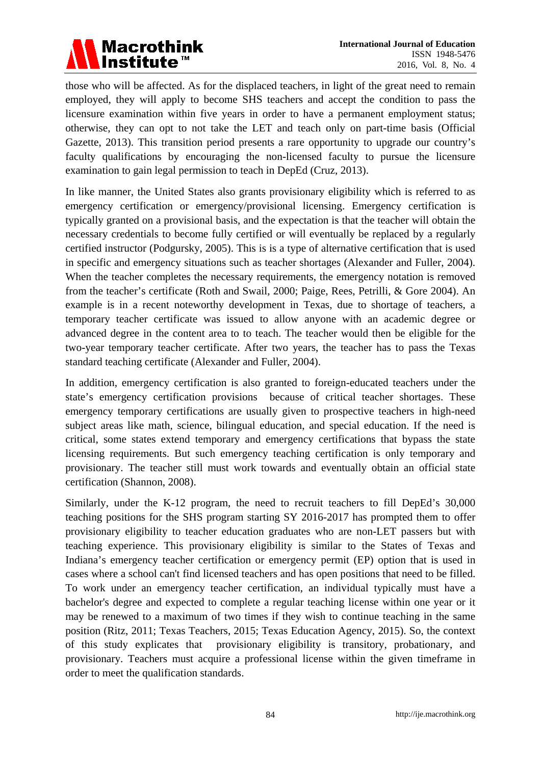

those who will be affected. As for the displaced teachers, in light of the great need to remain employed, they will apply to become SHS teachers and accept the condition to pass the licensure examination within five years in order to have a permanent employment status; otherwise, they can opt to not take the LET and teach only on part-time basis (Official Gazette, 2013). This transition period presents a rare opportunity to upgrade our country's faculty qualifications by encouraging the non-licensed faculty to pursue the licensure examination to gain legal permission to teach in DepEd (Cruz, 2013).

In like manner, the United States also grants provisionary eligibility which is referred to as emergency certification or emergency/provisional licensing. Emergency certification is typically granted on a provisional basis, and the expectation is that the teacher will obtain the necessary credentials to become fully certified or will eventually be replaced by a regularly certified instructor (Podgursky, 2005). This is is a type of alternative certification that is used in specific and emergency situations such as teacher shortages (Alexander and Fuller, 2004). When the teacher completes the necessary requirements, the emergency notation is removed from the teacher's certificate (Roth and Swail, 2000; Paige, Rees, Petrilli, & Gore 2004). An example is in a recent noteworthy development in Texas, due to shortage of teachers, a temporary teacher certificate was issued to allow anyone with an academic degree or advanced degree in the content area to to teach. The teacher would then be eligible for the two-year temporary teacher certificate. After two years, the teacher has to pass the Texas standard teaching certificate (Alexander and Fuller, 2004).

In addition, emergency certification is also granted to foreign-educated teachers under the state's emergency certification provisions because of critical teacher shortages. These emergency temporary certifications are usually given to prospective teachers in high-need subject areas like math, science, bilingual education, and special education. If the need is critical, some states extend temporary and emergency certifications that bypass the state licensing requirements. But such emergency teaching certification is only temporary and provisionary. The teacher still must work towards and eventually obtain an official state certification (Shannon, 2008).

Similarly, under the K-12 program, the need to recruit teachers to fill DepEd's 30,000 teaching positions for the SHS program starting SY 2016-2017 has prompted them to offer provisionary eligibility to teacher education graduates who are non-LET passers but with teaching experience. This provisionary eligibility is similar to the States of Texas and Indiana's emergency teacher certification or emergency permit (EP) option that is used in cases where a school can't find licensed teachers and has open positions that need to be filled. To work under an emergency teacher certification, an individual typically must have a bachelor's degree and expected to complete a regular teaching license within one year or it may be renewed to a maximum of two times if they wish to continue teaching in the same position (Ritz, 2011; Texas Teachers, 2015; Texas Education Agency, 2015). So, the context of this study explicates that provisionary eligibility is transitory, probationary, and provisionary. Teachers must acquire a professional license within the given timeframe in order to meet the qualification standards.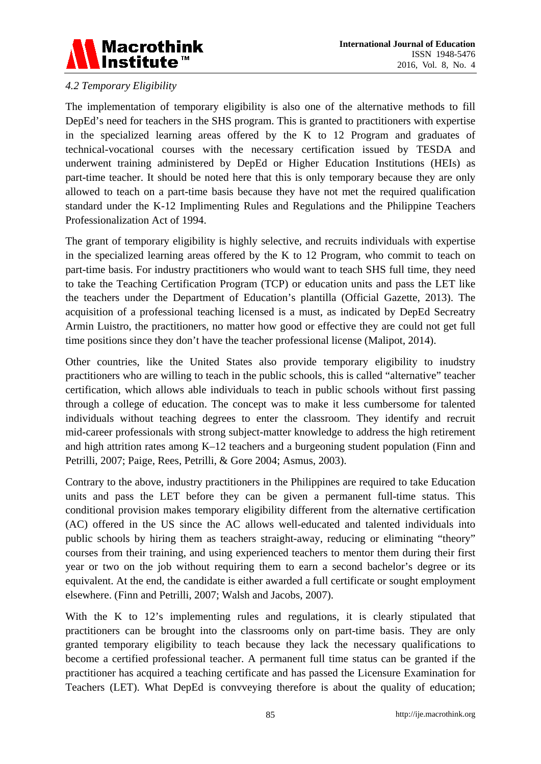

## *4.2 Temporary Eligibility*

The implementation of temporary eligibility is also one of the alternative methods to fill DepEd's need for teachers in the SHS program. This is granted to practitioners with expertise in the specialized learning areas offered by the K to 12 Program and graduates of technical-vocational courses with the necessary certification issued by TESDA and underwent training administered by DepEd or Higher Education Institutions (HEIs) as part-time teacher. It should be noted here that this is only temporary because they are only allowed to teach on a part-time basis because they have not met the required qualification standard under the K-12 Implimenting Rules and Regulations and the Philippine Teachers Professionalization Act of 1994.

The grant of temporary eligibility is highly selective, and recruits individuals with expertise in the specialized learning areas offered by the K to 12 Program, who commit to teach on part-time basis. For industry practitioners who would want to teach SHS full time, they need to take the Teaching Certification Program (TCP) or education units and pass the LET like the teachers under the Department of Education's plantilla (Official Gazette, 2013). The acquisition of a professional teaching licensed is a must, as indicated by DepEd Secreatry Armin Luistro, the practitioners, no matter how good or effective they are could not get full time positions since they don't have the teacher professional license (Malipot, 2014).

Other countries, like the United States also provide temporary eligibility to inudstry practitioners who are willing to teach in the public schools, this is called "alternative" teacher certification, which allows able individuals to teach in public schools without first passing through a college of education. The concept was to make it less cumbersome for talented individuals without teaching degrees to enter the classroom. They identify and recruit mid-career professionals with strong subject-matter knowledge to address the high retirement and high attrition rates among K–12 teachers and a burgeoning student population (Finn and Petrilli, 2007; Paige, Rees, Petrilli, & Gore 2004; Asmus, 2003).

Contrary to the above, industry practitioners in the Philippines are required to take Education units and pass the LET before they can be given a permanent full-time status. This conditional provision makes temporary eligibility different from the alternative certification (AC) offered in the US since the AC allows well-educated and talented individuals into public schools by hiring them as teachers straight-away, reducing or eliminating "theory" courses from their training, and using experienced teachers to mentor them during their first year or two on the job without requiring them to earn a second bachelor's degree or its equivalent. At the end, the candidate is either awarded a full certificate or sought employment elsewhere. (Finn and Petrilli, 2007; Walsh and Jacobs, 2007).

With the K to 12's implementing rules and regulations, it is clearly stipulated that practitioners can be brought into the classrooms only on part-time basis. They are only granted temporary eligibility to teach because they lack the necessary qualifications to become a certified professional teacher. A permanent full time status can be granted if the practitioner has acquired a teaching certificate and has passed the Licensure Examination for Teachers (LET). What DepEd is convveying therefore is about the quality of education;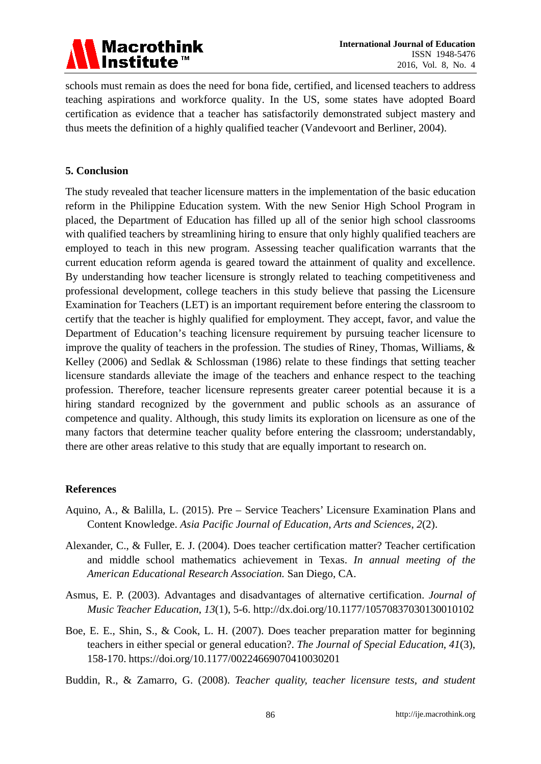

schools must remain as does the need for bona fide, certified, and licensed teachers to address teaching aspirations and workforce quality. In the US, some states have adopted Board certification as evidence that a teacher has satisfactorily demonstrated subject mastery and thus meets the definition of a highly qualified teacher (Vandevoort and Berliner, 2004).

#### **5. Conclusion**

The study revealed that teacher licensure matters in the implementation of the basic education reform in the Philippine Education system. With the new Senior High School Program in placed, the Department of Education has filled up all of the senior high school classrooms with qualified teachers by streamlining hiring to ensure that only highly qualified teachers are employed to teach in this new program. Assessing teacher qualification warrants that the current education reform agenda is geared toward the attainment of quality and excellence. By understanding how teacher licensure is strongly related to teaching competitiveness and professional development, college teachers in this study believe that passing the Licensure Examination for Teachers (LET) is an important requirement before entering the classroom to certify that the teacher is highly qualified for employment. They accept, favor, and value the Department of Education's teaching licensure requirement by pursuing teacher licensure to improve the quality of teachers in the profession. The studies of Riney, Thomas, Williams, & Kelley (2006) and Sedlak & Schlossman (1986) relate to these findings that setting teacher licensure standards alleviate the image of the teachers and enhance respect to the teaching profession. Therefore, teacher licensure represents greater career potential because it is a hiring standard recognized by the government and public schools as an assurance of competence and quality. Although, this study limits its exploration on licensure as one of the many factors that determine teacher quality before entering the classroom; understandably, there are other areas relative to this study that are equally important to research on.

#### **References**

- Aquino, A., & Balilla, L. (2015). Pre Service Teachers' Licensure Examination Plans and Content Knowledge. *Asia Pacific Journal of Education, Arts and Sciences*, *2*(2).
- Alexander, C., & Fuller, E. J. (2004). Does teacher certification matter? Teacher certification and middle school mathematics achievement in Texas. *In annual meeting of the American Educational Research Association.* San Diego, CA.
- Asmus, E. P. (2003). Advantages and disadvantages of alternative certification. *Journal of Music Teacher Education*, *13*(1), 5-6. http://dx.doi.org/10.1177/10570837030130010102
- Boe, E. E., Shin, S., & Cook, L. H. (2007). Does teacher preparation matter for beginning teachers in either special or general education?. *The Journal of Special Education*, *41*(3), 158-170. https://doi.org/10.1177/00224669070410030201
- Buddin, R., & Zamarro, G. (2008). *Teacher quality, teacher licensure tests, and student*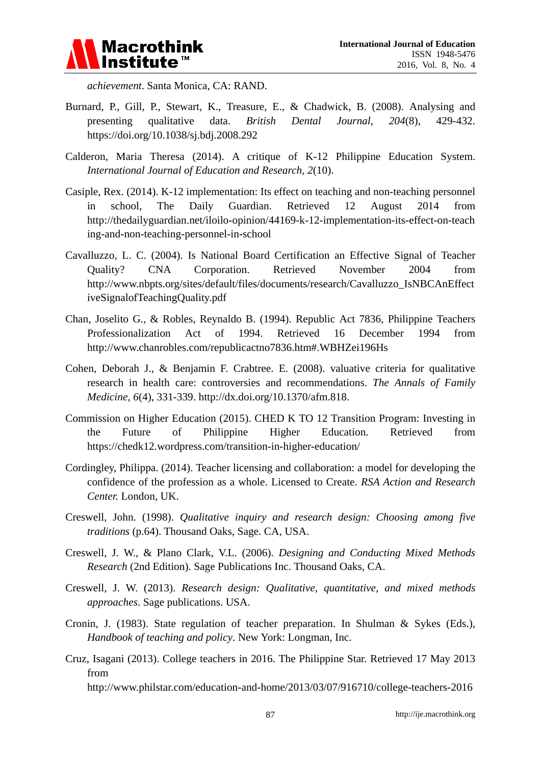

*achievement*. Santa Monica, CA: RAND.

- Burnard, P., Gill, P., Stewart, K., Treasure, E., & Chadwick, B. (2008). Analysing and presenting qualitative data. *British Dental Journal*, *204*(8), 429-432. https://doi.org/10.1038/sj.bdj.2008.292
- Calderon, Maria Theresa (2014). A critique of K-12 Philippine Education System. *International Journal of Education and Research, 2*(10).
- Casiple, Rex. (2014). K-12 implementation: Its effect on teaching and non-teaching personnel in school, The Daily Guardian. Retrieved 12 August 2014 from http://thedailyguardian.net/iloilo-opinion/44169-k-12-implementation-its-effect-on-teach ing-and-non-teaching-personnel-in-school
- Cavalluzzo, L. C. (2004). Is National Board Certification an Effective Signal of Teacher Quality? CNA Corporation. Retrieved November 2004 from http://www.nbpts.org/sites/default/files/documents/research/Cavalluzzo\_IsNBCAnEffect iveSignalofTeachingQuality.pdf
- Chan, Joselito G., & Robles, Reynaldo B. (1994). Republic Act 7836, Philippine Teachers Professionalization Act of 1994. Retrieved 16 December 1994 from http://www.chanrobles.com/republicactno7836.htm#.WBHZei196Hs
- Cohen, Deborah J., & Benjamin F. Crabtree. E. (2008). valuative criteria for qualitative research in health care: controversies and recommendations. *The Annals of Family Medicine, 6*(4), 331-339. http://dx.doi.org/10.1370/afm.818.
- Commission on Higher Education (2015). CHED K TO 12 Transition Program: Investing in the Future of Philippine Higher Education. Retrieved from https://chedk12.wordpress.com/transition-in-higher-education/
- Cordingley, Philippa. (2014). Teacher licensing and collaboration: a model for developing the confidence of the profession as a whole. Licensed to Create. *RSA Action and Research Center.* London, UK.
- Creswell, John. (1998). *Qualitative inquiry and research design: Choosing among five traditions* (p.64). Thousand Oaks, Sage. CA, USA.
- Creswell, J. W., & Plano Clark, V.L. (2006). *Designing and Conducting Mixed Methods Research* (2nd Edition). Sage Publications Inc. Thousand Oaks, CA.
- Creswell, J. W. (2013). *Research design: Qualitative, quantitative, and mixed methods approaches*. Sage publications. USA.
- Cronin, J. (1983). State regulation of teacher preparation. In Shulman & Sykes (Eds.), *Handbook of teaching and policy*. New York: Longman, Inc.
- Cruz, Isagani (2013). College teachers in 2016. The Philippine Star. Retrieved 17 May 2013 from http://www.philstar.com/education-and-home/2013/03/07/916710/college-teachers-2016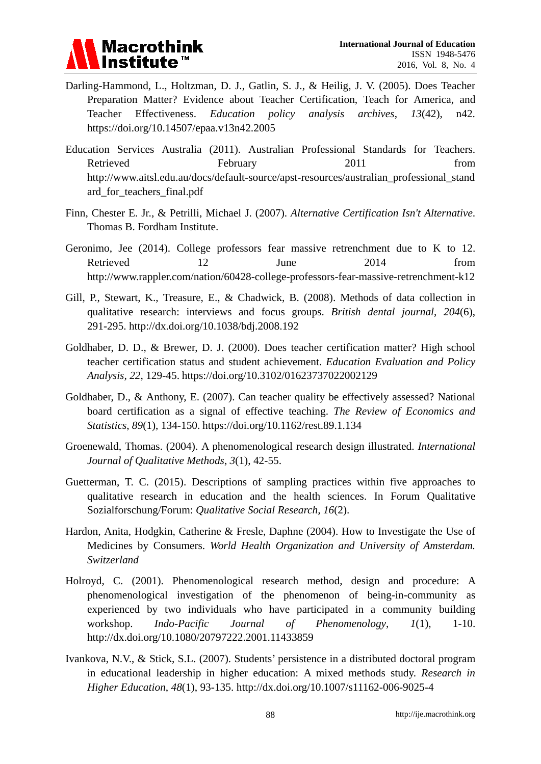

- Darling-Hammond, L., Holtzman, D. J., Gatlin, S. J., & Heilig, J. V. (2005). Does Teacher Preparation Matter? Evidence about Teacher Certification, Teach for America, and Teacher Effectiveness. *Education policy analysis archives*, *13*(42), n42. https://doi.org/10.14507/epaa.v13n42.2005
- Education Services Australia (2011). Australian Professional Standards for Teachers. Retrieved February 2011 from http://www.aitsl.edu.au/docs/default-source/apst-resources/australian\_professional\_stand ard\_for\_teachers\_final.pdf
- Finn, Chester E. Jr., & Petrilli, Michael J. (2007). *Alternative Certification Isn't Alternative*. Thomas B. Fordham Institute.
- Geronimo, Jee (2014). College professors fear massive retrenchment due to K to 12. Retrieved 12 June 2014 from http://www.rappler.com/nation/60428-college-professors-fear-massive-retrenchment-k12
- Gill, P., Stewart, K., Treasure, E., & Chadwick, B. (2008). Methods of data collection in qualitative research: interviews and focus groups. *British dental journal*, *204*(6), 291-295. http://dx.doi.org/10.1038/bdj.2008.192
- Goldhaber, D. D., & Brewer, D. J. (2000). Does teacher certification matter? High school teacher certification status and student achievement. *Education Evaluation and Policy Analysis, 22*, 129-45. https://doi.org/10.3102/01623737022002129
- Goldhaber, D., & Anthony, E. (2007). Can teacher quality be effectively assessed? National board certification as a signal of effective teaching. *The Review of Economics and Statistics*, *89*(1), 134-150. https://doi.org/10.1162/rest.89.1.134
- Groenewald, Thomas. (2004). A phenomenological research design illustrated. *International Journal of Qualitative Methods*, *3*(1), 42-55.
- Guetterman, T. C. (2015). Descriptions of sampling practices within five approaches to qualitative research in education and the health sciences. In Forum Qualitative Sozialforschung/Forum: *Qualitative Social Research, 16*(2).
- Hardon, Anita, Hodgkin, Catherine & Fresle, Daphne (2004). How to Investigate the Use of Medicines by Consumers. *World Health Organization and University of Amsterdam. Switzerland*
- Holroyd, C. (2001). Phenomenological research method, design and procedure: A phenomenological investigation of the phenomenon of being-in-community as experienced by two individuals who have participated in a community building workshop. *Indo-Pacific Journal of Phenomenology*, *1*(1), 1-10. http://dx.doi.org/10.1080/20797222.2001.11433859
- Ivankova, N.V., & Stick, S.L. (2007). Students' persistence in a distributed doctoral program in educational leadership in higher education: A mixed methods study. *Research in Higher Education*, *48*(1), 93-135. http://dx.doi.org/10.1007/s11162-006-9025-4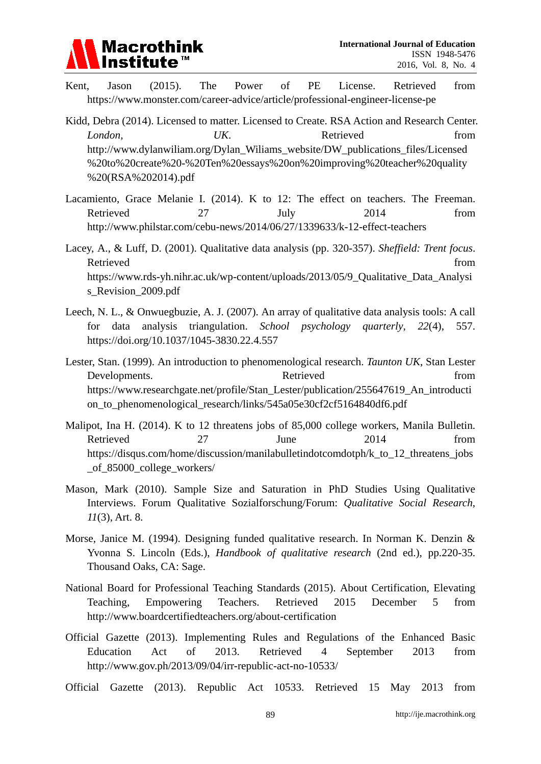

- Kent, Jason (2015). The Power of PE License. Retrieved from https://www.monster.com/career-advice/article/professional-engineer-license-pe
- Kidd, Debra (2014). Licensed to matter. Licensed to Create. RSA Action and Research Center. *London, UK.* Retrieved from http://www.dylanwiliam.org/Dylan\_Wiliams\_website/DW\_publications\_files/Licensed %20to%20create%20-%20Ten%20essays%20on%20improving%20teacher%20quality %20(RSA%202014).pdf
- Lacamiento, Grace Melanie I. (2014). K to 12: The effect on teachers. The Freeman. Retrieved 27 July 2014 from http://www.philstar.com/cebu-news/2014/06/27/1339633/k-12-effect-teachers
- Lacey, A., & Luff, D. (2001). Qualitative data analysis (pp. 320-357). *Sheffield: Trent focus*. Retrieved from the state of  $\mathbb{R}^n$  and  $\mathbb{R}^n$  from the state of  $\mathbb{R}^n$  from the state of  $\mathbb{R}^n$  from the state of  $\mathbb{R}^n$  from the state of  $\mathbb{R}^n$  from the state of  $\mathbb{R}^n$  from the state of  $\mathbb{$ https://www.rds-yh.nihr.ac.uk/wp-content/uploads/2013/05/9\_Qualitative\_Data\_Analysi s\_Revision\_2009.pdf
- Leech, N. L., & Onwuegbuzie, A. J. (2007). An array of qualitative data analysis tools: A call for data analysis triangulation. *School psychology quarterly*, *22*(4), 557. https://doi.org/10.1037/1045-3830.22.4.557
- Lester, Stan. (1999). An introduction to phenomenological research. *Taunton UK*, Stan Lester Developments. Retrieved from the Retrieved from the Retrieved from the set of  $\mathbb{R}$ https://www.researchgate.net/profile/Stan\_Lester/publication/255647619\_An\_introducti on to phenomenological research/links/545a05e30cf2cf5164840df6.pdf
- Malipot, Ina H. (2014). K to 12 threatens jobs of 85,000 college workers, Manila Bulletin. Retrieved 27 June 2014 from https://disqus.com/home/discussion/manilabulletindotcomdotph/k\_to\_12\_threatens\_jobs \_of\_85000\_college\_workers/
- Mason, Mark (2010). Sample Size and Saturation in PhD Studies Using Qualitative Interviews. Forum Qualitative Sozialforschung/Forum: *Qualitative Social Research*, *11*(3), Art. 8.
- Morse, Janice M. (1994). Designing funded qualitative research. In Norman K. Denzin & Yvonna S. Lincoln (Eds.), *Handbook of qualitative research* (2nd ed.), pp.220-35. Thousand Oaks, CA: Sage.
- National Board for Professional Teaching Standards (2015). About Certification, Elevating Teaching, Empowering Teachers. Retrieved 2015 December 5 from http://www.boardcertifiedteachers.org/about-certification
- Official Gazette (2013). Implementing Rules and Regulations of the Enhanced Basic Education Act of 2013. Retrieved 4 September 2013 from http://www.gov.ph/2013/09/04/irr-republic-act-no-10533/
- Official Gazette (2013). Republic Act 10533. Retrieved 15 May 2013 from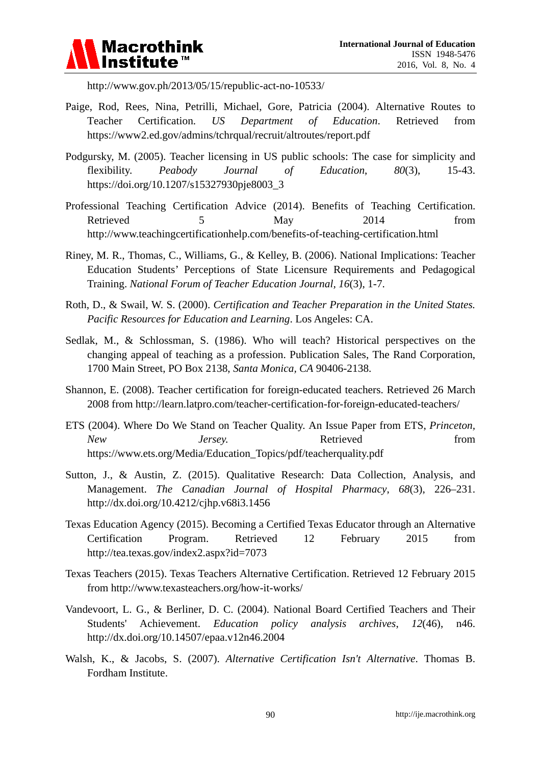

http://www.gov.ph/2013/05/15/republic-act-no-10533/

- Paige, Rod, Rees, Nina, Petrilli, Michael, Gore, Patricia (2004). Alternative Routes to Teacher Certification. *US Department of Education*. Retrieved from https://www2.ed.gov/admins/tchrqual/recruit/altroutes/report.pdf
- Podgursky, M. (2005). Teacher licensing in US public schools: The case for simplicity and flexibility. *Peabody Journal of Education*, *80*(3), 15-43. https://doi.org/10.1207/s15327930pje8003\_3
- Professional Teaching Certification Advice (2014). Benefits of Teaching Certification. Retrieved 5 May 2014 from http://www.teachingcertificationhelp.com/benefits-of-teaching-certification.html
- Riney, M. R., Thomas, C., Williams, G., & Kelley, B. (2006). National Implications: Teacher Education Students' Perceptions of State Licensure Requirements and Pedagogical Training. *National Forum of Teacher Education Journal, 16*(3), 1-7.
- Roth, D., & Swail, W. S. (2000). *Certification and Teacher Preparation in the United States. Pacific Resources for Education and Learning*. Los Angeles: CA.
- Sedlak, M., & Schlossman, S. (1986). Who will teach? Historical perspectives on the changing appeal of teaching as a profession. Publication Sales, The Rand Corporation, 1700 Main Street, PO Box 2138, *Santa Monica, CA* 90406-2138.
- Shannon, E. (2008). Teacher certification for foreign-educated teachers. Retrieved 26 March 2008 from http://learn.latpro.com/teacher-certification-for-foreign-educated-teachers/
- ETS (2004). Where Do We Stand on Teacher Quality. An Issue Paper from ETS, *Princeton, New Jersey.* Retrieved from https://www.ets.org/Media/Education\_Topics/pdf/teacherquality.pdf
- Sutton, J., & Austin, Z. (2015). Qualitative Research: Data Collection, Analysis, and Management. *The Canadian Journal of Hospital Pharmacy*, *68*(3), 226–231. http://dx.doi.org/10.4212/cjhp.v68i3.1456
- Texas Education Agency (2015). Becoming a Certified Texas Educator through an Alternative Certification Program. Retrieved 12 February 2015 from http://tea.texas.gov/index2.aspx?id=7073
- Texas Teachers (2015). Texas Teachers Alternative Certification. Retrieved 12 February 2015 from http://www.texasteachers.org/how-it-works/
- Vandevoort, L. G., & Berliner, D. C. (2004). National Board Certified Teachers and Their Students' Achievement. *Education policy analysis archives*, *12*(46), n46. http://dx.doi.org/10.14507/epaa.v12n46.2004
- Walsh, K., & Jacobs, S. (2007). *Alternative Certification Isn't Alternative*. Thomas B. Fordham Institute.